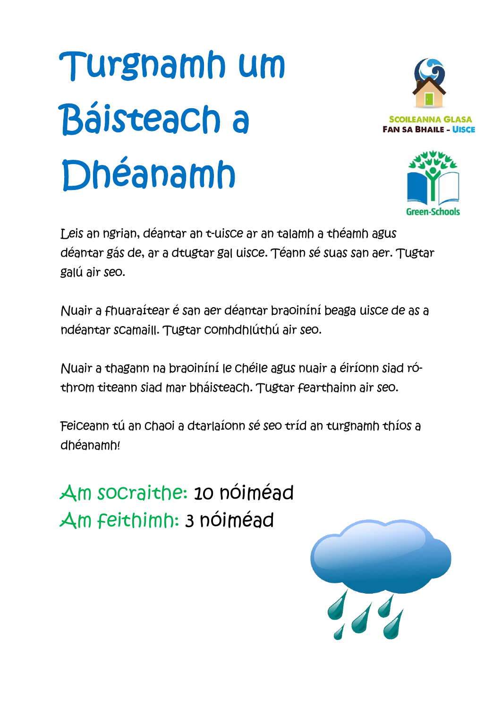# Turgnamh um Báisteach a Dhéanamh





Leis an ngrian, déantar an t-uisce ar an talamh a théamh agus déantar gás de, ar a dtugtar gal uisce. Téann sé suas san aer. Tugtar galú air seo.

Nuair a fhuaraítear é san aer déantar braoiníní beaga uisce de as a ndéantar scamaill. Tugtar comhdhlúthú air seo.

Nuair a thagann na braoiníní le chéile agus nuair a éiríonn siad róthrom titeann siad mar bháisteach. Tugtar fearthainn air seo.

Feiceann tú an chaoi a dtarlaíonn sé seo tríd an turgnamh thíos a dhéanamh!

Am socraithe: 10 nóiméad Am feithimh: 3 nóiméad

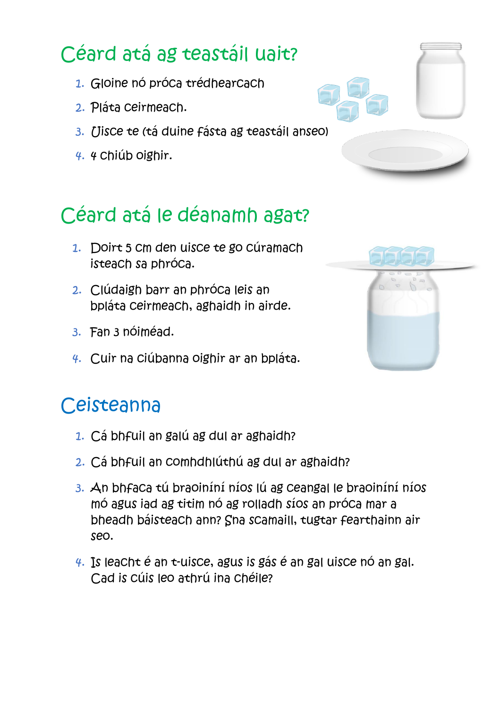## Céard atá ag teastáil uait?

- 1. Gloine nó próca trédhearcach
- 2. Pláta ceirmeach.
- 3. Uisce te (tá duine fásta ag teastáil anseo)
- 4. 4 chiúb oighir.

## Céard atá le déanamh agat?

- 1. Doirt 5 cm den uisce te go cúramach isteach sa phróca.
- 2. Clúdaigh barr an phróca leis an bpláta ceirmeach, aghaidh in airde.
- 3. Fan 3 nóiméad.
- 4. Cuir na ciúbanna oighir ar an bpláta.

#### **Ceisteanna**

- 1. Cá bhfuil an galú ag dul ar aghaidh?
- 2. Cá bhfuil an comhdhlúthú ag dul ar aghaidh?
- 3. An bhfaca tú braoiníní níos lú ag ceangal le braoiníní níos mó agus iad ag titim nó ag rolladh síos an próca mar a bheadh báisteach ann? Sna scamaill, tugtar fearthainn air seo.
- 4. Is leacht é an t-uisce, agus is gás é an gal uisce nó an gal. Cad is cúis leo athrú ina chéile?